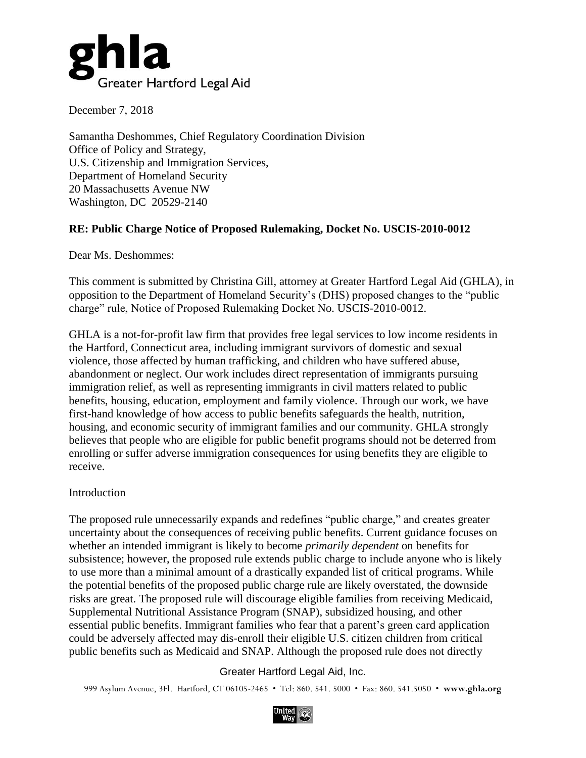

December 7, 2018

Samantha Deshommes, Chief Regulatory Coordination Division Office of Policy and Strategy, U.S. Citizenship and Immigration Services, Department of Homeland Security 20 Massachusetts Avenue NW Washington, DC 20529-2140

## **RE: Public Charge Notice of Proposed Rulemaking, Docket No. USCIS-2010-0012**

Dear Ms. Deshommes:

This comment is submitted by Christina Gill, attorney at Greater Hartford Legal Aid (GHLA), in opposition to the Department of Homeland Security's (DHS) proposed changes to the "public charge" rule, Notice of Proposed Rulemaking Docket No. USCIS-2010-0012.

GHLA is a not-for-profit law firm that provides free legal services to low income residents in the Hartford, Connecticut area, including immigrant survivors of domestic and sexual violence, those affected by human trafficking, and children who have suffered abuse, abandonment or neglect. Our work includes direct representation of immigrants pursuing immigration relief, as well as representing immigrants in civil matters related to public benefits, housing, education, employment and family violence. Through our work, we have first-hand knowledge of how access to public benefits safeguards the health, nutrition, housing, and economic security of immigrant families and our community. GHLA strongly believes that people who are eligible for public benefit programs should not be deterred from enrolling or suffer adverse immigration consequences for using benefits they are eligible to receive.

### Introduction

The proposed rule unnecessarily expands and redefines "public charge," and creates greater uncertainty about the consequences of receiving public benefits. Current guidance focuses on whether an intended immigrant is likely to become *primarily dependent* on benefits for subsistence; however, the proposed rule extends public charge to include anyone who is likely to use more than a minimal amount of a drastically expanded list of critical programs. While the potential benefits of the proposed public charge rule are likely overstated, the downside risks are great. The proposed rule will discourage eligible families from receiving Medicaid, Supplemental Nutritional Assistance Program (SNAP), subsidized housing, and other essential public benefits. Immigrant families who fear that a parent's green card application could be adversely affected may dis-enroll their eligible U.S. citizen children from critical public benefits such as Medicaid and SNAP. Although the proposed rule does not directly

Greater Hartford Legal Aid, Inc.

999 Asylum Avenue, 3Fl. Hartford, CT 06105-2465 • Tel: 860. 541. 5000 • Fax: 860. 541.5050 • **[www.ghla.org](http://www.ghla.org/)**

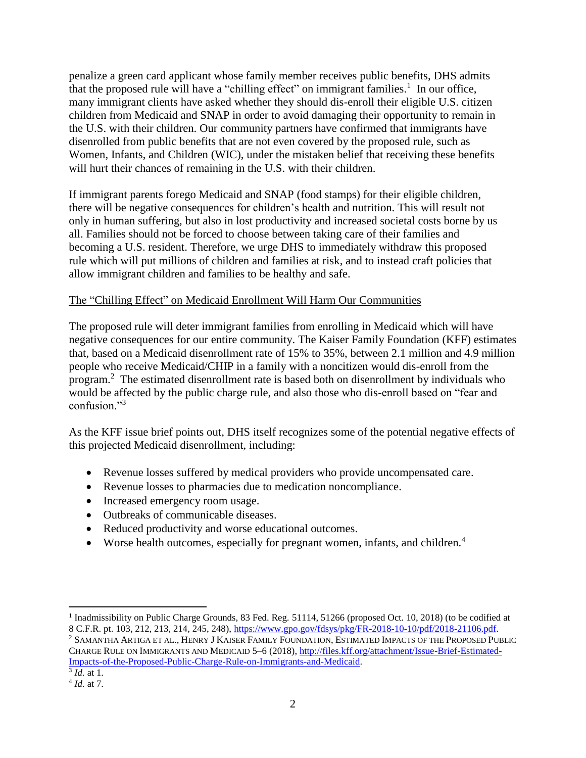penalize a green card applicant whose family member receives public benefits, DHS admits that the proposed rule will have a "chilling effect" on immigrant families.<sup>1</sup> In our office, many immigrant clients have asked whether they should dis-enroll their eligible U.S. citizen children from Medicaid and SNAP in order to avoid damaging their opportunity to remain in the U.S. with their children. Our community partners have confirmed that immigrants have disenrolled from public benefits that are not even covered by the proposed rule, such as Women, Infants, and Children (WIC), under the mistaken belief that receiving these benefits will hurt their chances of remaining in the U.S. with their children.

If immigrant parents forego Medicaid and SNAP (food stamps) for their eligible children, there will be negative consequences for children's health and nutrition. This will result not only in human suffering, but also in lost productivity and increased societal costs borne by us all. Families should not be forced to choose between taking care of their families and becoming a U.S. resident. Therefore, we urge DHS to immediately withdraw this proposed rule which will put millions of children and families at risk, and to instead craft policies that allow immigrant children and families to be healthy and safe.

## The "Chilling Effect" on Medicaid Enrollment Will Harm Our Communities

The proposed rule will deter immigrant families from enrolling in Medicaid which will have negative consequences for our entire community. The Kaiser Family Foundation (KFF) estimates that, based on a Medicaid disenrollment rate of 15% to 35%, between 2.1 million and 4.9 million people who receive Medicaid/CHIP in a family with a noncitizen would dis-enroll from the program.<sup>2</sup> The estimated disenrollment rate is based both on disenrollment by individuals who would be affected by the public charge rule, and also those who dis-enroll based on "fear and confusion."<sup>3</sup>

As the KFF issue brief points out, DHS itself recognizes some of the potential negative effects of this projected Medicaid disenrollment, including:

- Revenue losses suffered by medical providers who provide uncompensated care.
- Revenue losses to pharmacies due to medication noncompliance.
- Increased emergency room usage.
- Outbreaks of communicable diseases.
- Reduced productivity and worse educational outcomes.
- Worse health outcomes, especially for pregnant women, infants, and children.<sup>4</sup>

<sup>&</sup>lt;sup>1</sup> Inadmissibility on Public Charge Grounds, 83 Fed. Reg. 51114, 51266 (proposed Oct. 10, 2018) (to be codified at 8 C.F.R. pt. 103, 212, 213, 214, 245, 248), [https://www.gpo.gov/fdsys/pkg/FR-2018-10-10/pdf/2018-21106.pdf.](https://www.gpo.gov/fdsys/pkg/FR-2018-10-10/pdf/2018-21106.pdf)

<sup>2</sup> SAMANTHA ARTIGA ET AL., HENRY J KAISER FAMILY FOUNDATION, ESTIMATED IMPACTS OF THE PROPOSED PUBLIC CHARGE RULE ON IMMIGRANTS AND MEDICAID 5–6 (2018), [http://files.kff.org/attachment/Issue-Brief-Estimated-](http://files.kff.org/attachment/Issue-Brief-Estimated-Impacts-of-the-Proposed-Public-Charge-Rule-on-Immigrants-and-Medicaid)[Impacts-of-the-Proposed-Public-Charge-Rule-on-Immigrants-and-Medicaid.](http://files.kff.org/attachment/Issue-Brief-Estimated-Impacts-of-the-Proposed-Public-Charge-Rule-on-Immigrants-and-Medicaid)

<sup>3</sup> *Id.* at 1.

<sup>4</sup> *Id.* at 7.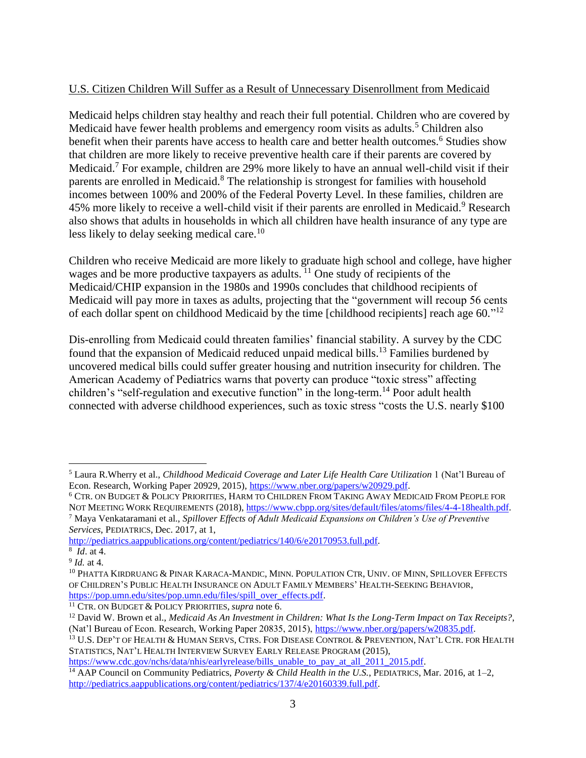## U.S. Citizen Children Will Suffer as a Result of Unnecessary Disenrollment from Medicaid

Medicaid helps children stay healthy and reach their full potential. Children who are covered by Medicaid have fewer health problems and emergency room visits as adults.<sup>5</sup> Children also benefit when their parents have access to health care and better health outcomes.<sup>6</sup> Studies show that children are more likely to receive preventive health care if their parents are covered by Medicaid.<sup>7</sup> For example, children are 29% more likely to have an annual well-child visit if their parents are enrolled in Medicaid.<sup>8</sup> The relationship is strongest for families with household incomes between 100% and 200% of the Federal Poverty Level. In these families, children are 45% more likely to receive a well-child visit if their parents are enrolled in Medicaid.<sup>9</sup> Research also shows that adults in households in which all children have health insurance of any type are less likely to delay seeking medical care.<sup>10</sup>

Children who receive Medicaid are more likely to graduate high school and college, have higher wages and be more productive taxpayers as adults. <sup>11</sup> One study of recipients of the Medicaid/CHIP expansion in the 1980s and 1990s concludes that childhood recipients of Medicaid will pay more in taxes as adults, projecting that the "government will recoup 56 cents of each dollar spent on childhood Medicaid by the time [childhood recipients] reach age 60."<sup>12</sup>

Dis-enrolling from Medicaid could threaten families' financial stability. A survey by the CDC found that the expansion of Medicaid reduced unpaid medical bills.<sup>13</sup> Families burdened by uncovered medical bills could suffer greater housing and nutrition insecurity for children. The American Academy of Pediatrics warns that poverty can produce "toxic stress" affecting children's "self-regulation and executive function" in the long-term.<sup>14</sup> Poor adult health connected with adverse childhood experiences, such as toxic stress "costs the U.S. nearly \$100

[https://www.cdc.gov/nchs/data/nhis/earlyrelease/bills\\_unable\\_to\\_pay\\_at\\_all\\_2011\\_2015.pdf.](https://www.cdc.gov/nchs/data/nhis/earlyrelease/bills_unable_to_pay_at_all_2011_2015.pdf)

 $\overline{a}$ <sup>5</sup> Laura R.Wherry et al., *Childhood Medicaid Coverage and Later Life Health Care Utilization* 1 (Nat'l Bureau of Econ. Research, Working Paper 20929, 2015), [https://www.nber.org/papers/w20929.pdf.](https://www.nber.org/papers/w20929.pdf)

<sup>6</sup> CTR. ON BUDGET & POLICY PRIORITIES, HARM TO CHILDREN FROM TAKING AWAY MEDICAID FROM PEOPLE FOR NOT MEETING WORK REQUIREMENTS (2018), [https://www.cbpp.org/sites/default/files/atoms/files/4-4-18health.pdf.](https://www.cbpp.org/sites/default/files/atoms/files/4-4-18health.pdf) <sup>7</sup> Maya Venkataramani et al., *Spillover Effects of Adult Medicaid Expansions on Children's Use of Preventive Services*, PEDIATRICS, Dec. 2017, at 1,

[http://pediatrics.aappublications.org/content/pediatrics/140/6/e20170953.full.pdf.](http://pediatrics.aappublications.org/content/pediatrics/140/6/e20170953.full.pdf) 8 *Id*. at 4.

<sup>9</sup> *Id.* at 4.

<sup>&</sup>lt;sup>10</sup> PHATTA KIRDRUANG & PINAR KARACA-MANDIC, MINN. POPULATION CTR, UNIV. OF MINN, SPILLOVER EFFECTS OF CHILDREN'S PUBLIC HEALTH INSURANCE ON ADULT FAMILY MEMBERS' HEALTH-SEEKING BEHAVIOR, [https://pop.umn.edu/sites/pop.umn.edu/files/spill\\_over\\_effects.pdf.](https://pop.umn.edu/sites/pop.umn.edu/files/spill_over_effects.pdf)

<sup>11</sup> CTR. ON BUDGET & POLICY PRIORITIES, *supra* note 6.

<sup>12</sup> David W. Brown et al., *Medicaid As An Investment in Children: What Is the Long-Term Impact on Tax Receipts?*, (Nat'l Bureau of Econ. Research, Working Paper 20835, 2015), [https://www.nber.org/papers/w20835.pdf.](https://www.nber.org/papers/w20835.pdf)

<sup>13</sup> U.S. DEP'T OF HEALTH & HUMAN SERVS, CTRS. FOR DISEASE CONTROL & PREVENTION, NAT'L CTR. FOR HEALTH STATISTICS, NAT'L HEALTH INTERVIEW SURVEY EARLY RELEASE PROGRAM (2015),

<sup>14</sup> AAP Council on Community Pediatrics, *Poverty & Child Health in the U.S.*, PEDIATRICS, Mar. 2016, at 1–2, [http://pediatrics.aappublications.org/content/pediatrics/137/4/e20160339.full.pdf.](http://pediatrics.aappublications.org/content/pediatrics/137/4/e20160339.full.pdf)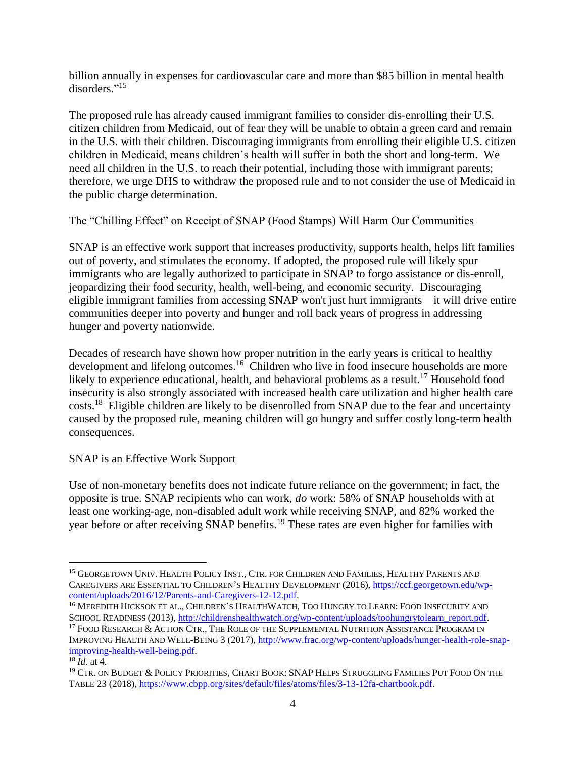billion annually in expenses for cardiovascular care and more than \$85 billion in mental health disorders." 15

The proposed rule has already caused immigrant families to consider dis-enrolling their U.S. citizen children from Medicaid, out of fear they will be unable to obtain a green card and remain in the U.S. with their children. Discouraging immigrants from enrolling their eligible U.S. citizen children in Medicaid, means children's health will suffer in both the short and long-term. We need all children in the U.S. to reach their potential, including those with immigrant parents; therefore, we urge DHS to withdraw the proposed rule and to not consider the use of Medicaid in the public charge determination.

## The "Chilling Effect" on Receipt of SNAP (Food Stamps) Will Harm Our Communities

SNAP is an effective work support that increases productivity, supports health, helps lift families out of poverty, and stimulates the economy. If adopted, the proposed rule will likely spur immigrants who are legally authorized to participate in SNAP to forgo assistance or dis-enroll, jeopardizing their food security, health, well-being, and economic security. Discouraging eligible immigrant families from accessing SNAP won't just hurt immigrants—it will drive entire communities deeper into poverty and hunger and roll back years of progress in addressing hunger and poverty nationwide.

Decades of research have shown how proper nutrition in the early years is critical to healthy development and lifelong outcomes.<sup>16</sup> Children who live in food insecure households are more likely to experience educational, health, and behavioral problems as a result.<sup>17</sup> Household food insecurity is also strongly associated with increased health care utilization and higher health care costs.<sup>18</sup> Eligible children are likely to be disenrolled from SNAP due to the fear and uncertainty caused by the proposed rule, meaning children will go hungry and suffer costly long-term health consequences.

# SNAP is an Effective Work Support

Use of non-monetary benefits does not indicate future reliance on the government; in fact, the opposite is true. SNAP recipients who can work, *do* work: 58% of SNAP households with at least one working-age, non-disabled adult work while receiving SNAP, and 82% worked the year before or after receiving SNAP benefits.<sup>19</sup> These rates are even higher for families with

<sup>&</sup>lt;sup>15</sup> GEORGETOWN UNIV. HEALTH POLICY INST., CTR. FOR CHILDREN AND FAMILIES, HEALTHY PARENTS AND CAREGIVERS ARE ESSENTIAL TO CHILDREN'S HEALTHY DEVELOPMENT (2016)[, https://ccf.georgetown.edu/wp](https://ccf.georgetown.edu/wp-content/uploads/2016/12/Parents-and-Caregivers-12-12.pdf)[content/uploads/2016/12/Parents-and-Caregivers-12-12.pdf.](https://ccf.georgetown.edu/wp-content/uploads/2016/12/Parents-and-Caregivers-12-12.pdf)

<sup>&</sup>lt;sup>16</sup> MEREDITH HICKSON ET AL., CHILDREN'S HEALTHWATCH, TOO HUNGRY TO LEARN: FOOD INSECURITY AND SCHOOL READINESS (2013), [http://childrenshealthwatch.org/wp-content/uploads/toohungrytolearn\\_report.pdf.](http://childrenshealthwatch.org/wp-content/uploads/toohungrytolearn_report.pdf)

<sup>17</sup> FOOD RESEARCH & ACTION CTR., THE ROLE OF THE SUPPLEMENTAL NUTRITION ASSISTANCE PROGRAM IN IMPROVING HEALTH AND WELL-BEING 3 (2017)[, http://www.frac.org/wp-content/uploads/hunger-health-role-snap](http://www.frac.org/wp-content/uploads/hunger-health-role-snap-improving-health-well-being.pdf)[improving-health-well-being.pdf.](http://www.frac.org/wp-content/uploads/hunger-health-role-snap-improving-health-well-being.pdf) 

<sup>18</sup> *Id.* at 4.

<sup>19</sup> CTR. ON BUDGET & POLICY PRIORITIES, CHART BOOK: SNAP HELPS STRUGGLING FAMILIES PUT FOOD ON THE TABLE 23 (2018), [https://www.cbpp.org/sites/default/files/atoms/files/3-13-12fa-chartbook.pdf.](https://www.cbpp.org/sites/default/files/atoms/files/3-13-12fa-chartbook.pdf)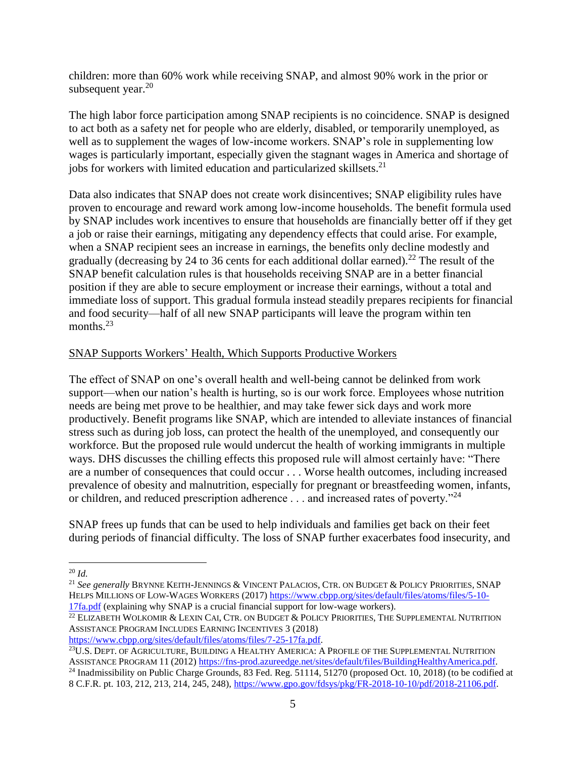children: more than 60% work while receiving SNAP, and almost 90% work in the prior or subsequent year. $20$ 

The high labor force participation among SNAP recipients is no coincidence. SNAP is designed to act both as a safety net for people who are elderly, disabled, or temporarily unemployed, as well as to supplement the wages of low-income workers. SNAP's role in supplementing low wages is particularly important, especially given the stagnant wages in America and shortage of jobs for workers with limited education and particularized skillsets.<sup>21</sup>

Data also indicates that SNAP does not create work disincentives; SNAP eligibility rules have proven to encourage and reward work among low-income households. The benefit formula used by SNAP includes work incentives to ensure that households are financially better off if they get a job or raise their earnings, mitigating any dependency effects that could arise. For example, when a SNAP recipient sees an increase in earnings, the benefits only decline modestly and gradually (decreasing by 24 to 36 cents for each additional dollar earned).<sup>22</sup> The result of the SNAP benefit calculation rules is that households receiving SNAP are in a better financial position if they are able to secure employment or increase their earnings, without a total and immediate loss of support. This gradual formula instead steadily prepares recipients for financial and food security—half of all new SNAP participants will leave the program within ten months.<sup>23</sup>

### SNAP Supports Workers' Health, Which Supports Productive Workers

The effect of SNAP on one's overall health and well-being cannot be delinked from work support—when our nation's health is hurting, so is our work force. Employees whose nutrition needs are being met prove to be healthier, and may take fewer sick days and work more productively. Benefit programs like SNAP, which are intended to alleviate instances of financial stress such as during job loss, can protect the health of the unemployed, and consequently our workforce. But the proposed rule would undercut the health of working immigrants in multiple ways. DHS discusses the chilling effects this proposed rule will almost certainly have: "There are a number of consequences that could occur . . . Worse health outcomes, including increased prevalence of obesity and malnutrition, especially for pregnant or breastfeeding women, infants, or children, and reduced prescription adherence . . . and increased rates of poverty."<sup>24</sup>

SNAP frees up funds that can be used to help individuals and families get back on their feet during periods of financial difficulty. The loss of SNAP further exacerbates food insecurity, and

 $\overline{a}$ 

[https://www.cbpp.org/sites/default/files/atoms/files/7-25-17fa.pdf.](https://www.cbpp.org/sites/default/files/atoms/files/7-25-17fa.pdf)

<sup>20</sup> *Id.*

<sup>21</sup> *See generally* BRYNNE KEITH-JENNINGS & VINCENT PALACIOS, CTR. ON BUDGET & POLICY PRIORITIES, SNAP HELPS MILLIONS OF LOW-WAGES WORKERS (2017) [https://www.cbpp.org/sites/default/files/atoms/files/5-10-](https://www.cbpp.org/sites/default/files/atoms/files/5-10-17fa.pdf) [17fa.pdf](https://www.cbpp.org/sites/default/files/atoms/files/5-10-17fa.pdf) (explaining why SNAP is a crucial financial support for low-wage workers).

<sup>&</sup>lt;sup>22</sup> ELIZABETH WOLKOMIR & LEXIN CAI, CTR. ON BUDGET & POLICY PRIORITIES, THE SUPPLEMENTAL NUTRITION ASSISTANCE PROGRAM INCLUDES EARNING INCENTIVES 3 (2018)

<sup>&</sup>lt;sup>23</sup>U.S. DEPT. OF AGRICULTURE, BUILDING A HEALTHY AMERICA: A PROFILE OF THE SUPPLEMENTAL NUTRITION ASSISTANCE PROGRAM 11 (2012[\) https://fns-prod.azureedge.net/sites/default/files/BuildingHealthyAmerica.pdf.](https://fns-prod.azureedge.net/sites/default/files/BuildingHealthyAmerica.pdf)

<sup>&</sup>lt;sup>24</sup> Inadmissibility on Public Charge Grounds, 83 Fed. Reg. 51114, 51270 (proposed Oct. 10, 2018) (to be codified at 8 C.F.R. pt. 103, 212, 213, 214, 245, 248), [https://www.gpo.gov/fdsys/pkg/FR-2018-10-10/pdf/2018-21106.pdf.](https://www.gpo.gov/fdsys/pkg/FR-2018-10-10/pdf/2018-21106.pdf)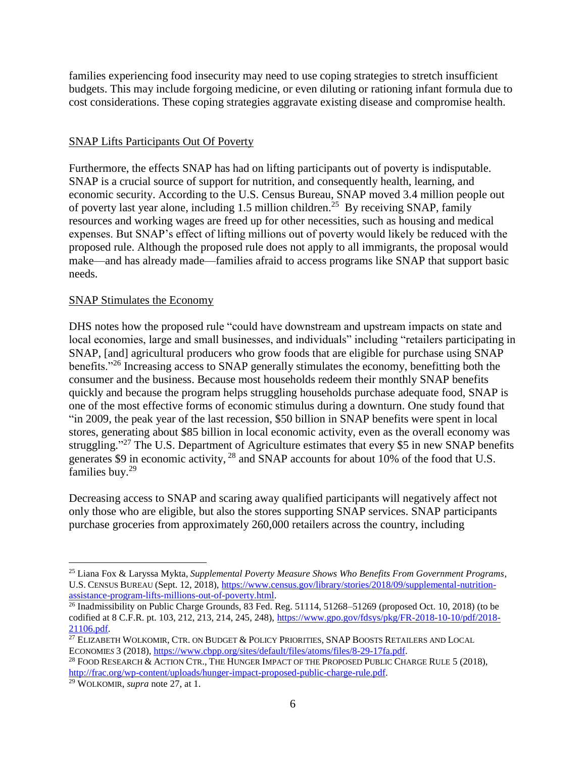families experiencing food insecurity may need to use coping strategies to stretch insufficient budgets. This may include forgoing medicine, or even diluting or rationing infant formula due to cost considerations. These coping strategies aggravate existing disease and compromise health.

#### SNAP Lifts Participants Out Of Poverty

Furthermore, the effects SNAP has had on lifting participants out of poverty is indisputable. SNAP is a crucial source of support for nutrition, and consequently health, learning, and economic security. According to the U.S. Census Bureau, SNAP moved 3.4 million people out of poverty last year alone, including 1.5 million children.<sup>25</sup> By receiving SNAP, family resources and working wages are freed up for other necessities, such as housing and medical expenses. But SNAP's effect of lifting millions out of poverty would likely be reduced with the proposed rule. Although the proposed rule does not apply to all immigrants, the proposal would make—and has already made—families afraid to access programs like SNAP that support basic needs.

### SNAP Stimulates the Economy

DHS notes how the proposed rule "could have downstream and upstream impacts on state and local economies, large and small businesses, and individuals" including "retailers participating in SNAP, [and] agricultural producers who grow foods that are eligible for purchase using SNAP benefits."<sup>26</sup> Increasing access to SNAP generally stimulates the economy, benefitting both the consumer and the business. Because most households redeem their monthly SNAP benefits quickly and because the program helps struggling households purchase adequate food, SNAP is one of the most effective forms of economic stimulus during a downturn. One study found that "in 2009, the peak year of the last recession, \$50 billion in SNAP benefits were spent in local stores, generating about \$85 billion in local economic activity, even as the overall economy was struggling."<sup>27</sup> The U.S. Department of Agriculture estimates that every \$5 in new SNAP benefits generates \$9 in economic activity, <sup>28</sup> and SNAP accounts for about 10% of the food that U.S. families buy.<sup>29</sup>

Decreasing access to SNAP and scaring away qualified participants will negatively affect not only those who are eligible, but also the stores supporting SNAP services. SNAP participants purchase groceries from approximately 260,000 retailers across the country, including

<sup>25</sup> Liana Fox & Laryssa Mykta, *Supplemental Poverty Measure Shows Who Benefits From Government Programs*, U.S. CENSUS BUREAU (Sept. 12, 2018), [https://www.census.gov/library/stories/2018/09/supplemental-nutrition](https://www.census.gov/library/stories/2018/09/supplemental-nutrition-assistance-program-lifts-millions-out-of-poverty.html)[assistance-program-lifts-millions-out-of-poverty.html.](https://www.census.gov/library/stories/2018/09/supplemental-nutrition-assistance-program-lifts-millions-out-of-poverty.html)

 $\frac{26}{6}$  Inadmissibility on Public Charge Grounds, 83 Fed. Reg. 51114, 51268–51269 (proposed Oct. 10, 2018) (to be codified at 8 C.F.R. pt. 103, 212, 213, 214, 245, 248), [https://www.gpo.gov/fdsys/pkg/FR-2018-10-10/pdf/2018-](https://www.gpo.gov/fdsys/pkg/FR-2018-10-10/pdf/2018-21106.pdf) [21106.pdf.](https://www.gpo.gov/fdsys/pkg/FR-2018-10-10/pdf/2018-21106.pdf)

<sup>&</sup>lt;sup>27</sup> ELIZABETH WOLKOMIR, CTR. ON BUDGET & POLICY PRIORITIES, SNAP BOOSTS RETAILERS AND LOCAL ECONOMIE*S* 3 (2018)[, https://www.cbpp.org/sites/default/files/atoms/files/8-29-17fa.pdf.](https://www.cbpp.org/sites/default/files/atoms/files/8-29-17fa.pdf)

<sup>28</sup> FOOD RESEARCH & ACTION CTR., THE HUNGER IMPACT OF THE PROPOSED PUBLIC CHARGE RULE 5 (2018), [http://frac.org/wp-content/uploads/hunger-impact-proposed-public-charge-rule.pdf.](http://frac.org/wp-content/uploads/hunger-impact-proposed-public-charge-rule.pdf)

<sup>29</sup> WOLKOMIR, *supra* note 27, at 1.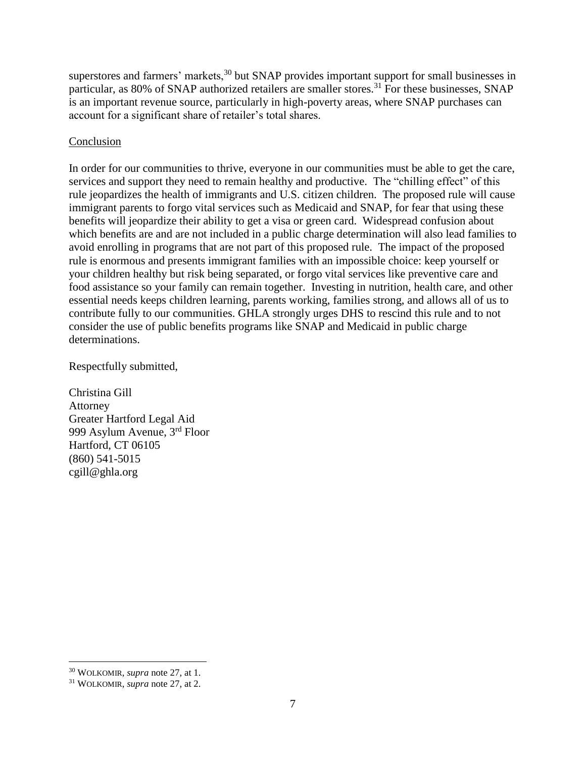superstores and farmers' markets,<sup>30</sup> but SNAP provides important support for small businesses in particular, as 80% of SNAP authorized retailers are smaller stores.<sup>31</sup> For these businesses, SNAP is an important revenue source, particularly in high-poverty areas, where SNAP purchases can account for a significant share of retailer's total shares.

## Conclusion

In order for our communities to thrive, everyone in our communities must be able to get the care, services and support they need to remain healthy and productive. The "chilling effect" of this rule jeopardizes the health of immigrants and U.S. citizen children. The proposed rule will cause immigrant parents to forgo vital services such as Medicaid and SNAP, for fear that using these benefits will jeopardize their ability to get a visa or green card. Widespread confusion about which benefits are and are not included in a public charge determination will also lead families to avoid enrolling in programs that are not part of this proposed rule. The impact of the proposed rule is enormous and presents immigrant families with an impossible choice: keep yourself or your children healthy but risk being separated, or forgo vital services like preventive care and food assistance so your family can remain together. Investing in nutrition, health care, and other essential needs keeps children learning, parents working, families strong, and allows all of us to contribute fully to our communities. GHLA strongly urges DHS to rescind this rule and to not consider the use of public benefits programs like SNAP and Medicaid in public charge determinations.

Respectfully submitted,

Christina Gill Attorney Greater Hartford Legal Aid 999 Asylum Avenue, 3rd Floor Hartford, CT 06105 (860) 541-5015 cgill@ghla.org

<sup>30</sup> WOLKOMIR, *supra* note 27, at 1.

<sup>31</sup> WOLKOMIR, *supra* note 27, at 2.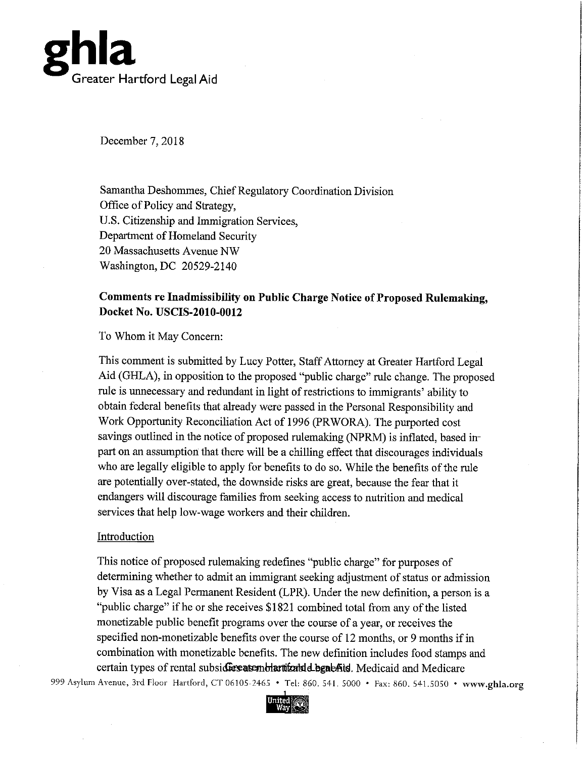

December 7, 2018

Samantha Deshommes, Chief Regulatory Coordination Division Office of Policy and Strategy, U.S. Citizenship and Immigration Services, Department of Homeland Security 20 Massachusetts Avenue NW Washington, DC 20529-2140

# Comments re Inadmissibility on Public Charge Notice of Proposed Rulemaking, Docket No. USCIS-2010-0012

#### To Whom it May Concern:

This comment is submitted by Lucy Potter, Staff Attorney at Greater Hartford Legal Aid (GHLA), in opposition to the proposed "public charge" rule change. The proposed rule is unnecessary and redundant in light of restrictions to immigrants' ability to obtain federal benefits that already were passed in the Personal Responsibility and Work Opportunity Reconciliation Act of 1996 (PRWORA). The purported cost savings outlined in the notice of proposed rulemaking (NPRM) is inflated, based inpart on an assumption that there will be a chilling effect that discourages individuals who are legally eligible to apply for benefits to do so. While the benefits of the rule are potentially over-stated, the downside risks are great, because the fear that it endangers will discourage families from seeking access to nutrition and medical services that help low-wage workers and their children.

## Introduction

This notice of proposed rulemaking redefines "public charge" for purposes of determining whether to admit an immigrant seeking adjustment of status or admission by Visa as a Legal Permanent Resident (LPR). Under the new definition, a person is a "public charge" if he or she receives \$1821 combined total from any of the listed monetizable public benefit programs over the course of a year, or receives the specified non-monetizable benefits over the course of 12 months, or 9 months if in combination with monetizable benefits. The new definition includes food stamps and certain types of rental subsidiers are multar titally departed in Medicaid and Medicare 999 Asylum Avenue, 3rd Floor Hartford, CT 06105-2465 . Tel: 860. 541. 5000 . Fax: 860. 541.5050 . www.ghla.org

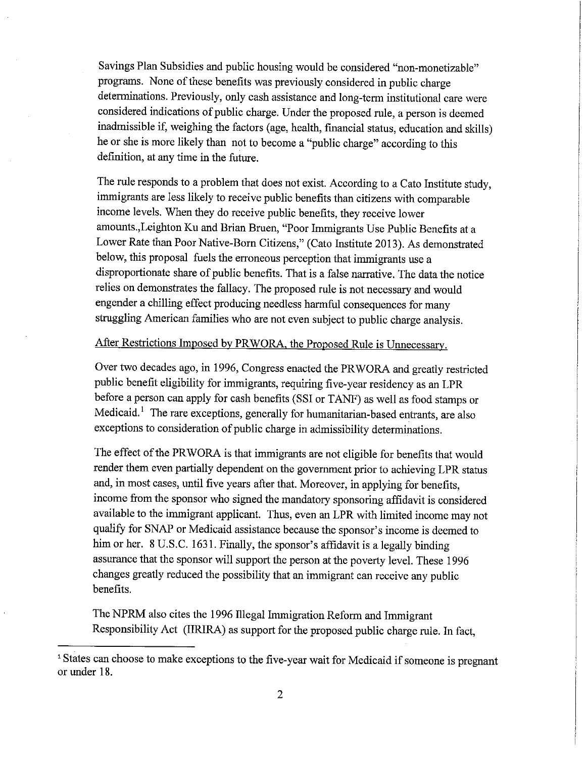Savings Plan Subsidies and public housing would be considered "non-monetizable" programs. None of these benefits was previously considered in public charge determinations. Previously, only cash assistance and long-term institutional care were considered indications of public charge. Under the proposed rule, a person is deemed inadmissible if, weighing the factors (age, health, financial status, education and skills) he or she is more likely than not to become a "public charge" according to this definition, at any time in the future.

The rule responds to a problem that does not exist. According to a Cato Institute study, immigrants are less likely to receive public benefits than citizens with comparable income levels. When they do receive public benefits, they receive lower amounts., Leighton Ku and Brian Bruen, "Poor Immigrants Use Public Benefits at a Lower Rate than Poor Native-Born Citizens," (Cato Institute 2013). As demonstrated below, this proposal fuels the erroneous perception that immigrants use a disproportionate share of public benefits. That is a false narrative. The data the notice relies on demonstrates the fallacy. The proposed rule is not necessary and would engender a chilling effect producing needless harmful consequences for many struggling American families who are not even subject to public charge analysis.

#### After Restrictions Imposed by PRWORA, the Proposed Rule is Unnecessary.

Over two decades ago, in 1996, Congress enacted the PRWORA and greatly restricted public benefit eligibility for immigrants, requiring five-year residency as an LPR before a person can apply for cash benefits (SSI or TANF) as well as food stamps or Medicaid.<sup>1</sup> The rare exceptions, generally for humanitarian-based entrants, are also exceptions to consideration of public charge in admissibility determinations.

The effect of the PRWORA is that immigrants are not eligible for benefits that would render them even partially dependent on the government prior to achieving LPR status and, in most cases, until five years after that. Moreover, in applying for benefits, income from the sponsor who signed the mandatory sponsoring affidavit is considered available to the immigrant applicant. Thus, even an LPR with limited income may not qualify for SNAP or Medicaid assistance because the sponsor's income is deemed to him or her. 8 U.S.C. 1631. Finally, the sponsor's affidavit is a legally binding assurance that the sponsor will support the person at the poverty level. These 1996 changes greatly reduced the possibility that an immigrant can receive any public benefits.

The NPRM also cites the 1996 Illegal Immigration Reform and Immigrant Responsibility Act (IIRIRA) as support for the proposed public charge rule. In fact,

<sup>&</sup>lt;sup>1</sup> States can choose to make exceptions to the five-year wait for Medicaid if someone is pregnant or under 18.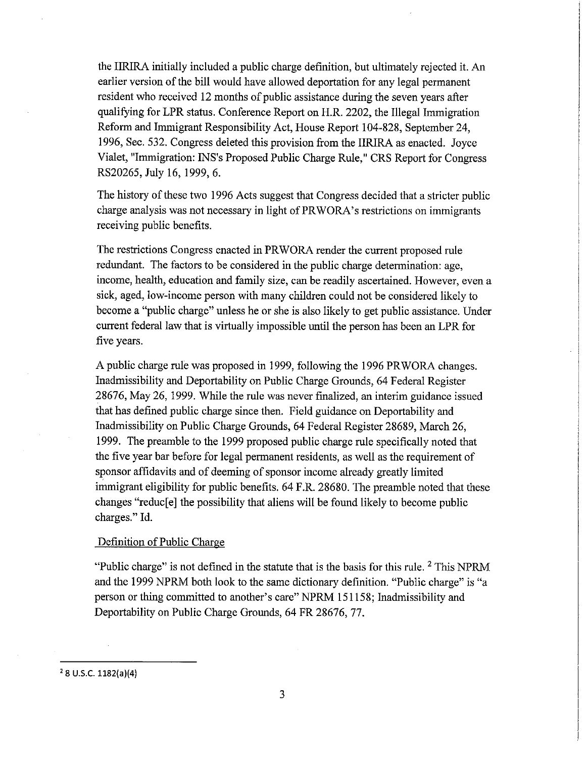the IIRIRA initially included a public charge definition, but ultimately rejected it. An earlier version of the bill would have allowed deportation for any legal permanent resident who received 12 months of public assistance during the seven years after qualifying for LPR status. Conference Report on H.R. 2202, the Illegal Immigration Reform and Immigrant Responsibility Act, House Report 104-828, September 24, 1996, Sec. 532. Congress deleted this provision from the IIRIRA as enacted. Joyce Vialet, "Immigration: INS's Proposed Public Charge Rule," CRS Report for Congress RS20265, July 16, 1999, 6.

The history of these two 1996 Acts suggest that Congress decided that a stricter public charge analysis was not necessary in light of PRWORA's restrictions on immigrants receiving public benefits.

The restrictions Congress enacted in PRWORA render the current proposed rule redundant. The factors to be considered in the public charge determination: age, income, health, education and family size, can be readily ascertained. However, even a sick, aged, low-income person with many children could not be considered likely to become a "public charge" unless he or she is also likely to get public assistance. Under current federal law that is virtually impossible until the person has been an LPR for five years.

A public charge rule was proposed in 1999, following the 1996 PRWORA changes. Inadmissibility and Deportability on Public Charge Grounds, 64 Federal Register 28676, May 26, 1999. While the rule was never finalized, an interim guidance issued that has defined public charge since then. Field guidance on Deportability and Inadmissibility on Public Charge Grounds, 64 Federal Register 28689, March 26, 1999. The preamble to the 1999 proposed public charge rule specifically noted that the five year bar before for legal permanent residents, as well as the requirement of sponsor affidavits and of deeming of sponsor income already greatly limited immigrant eligibility for public benefits. 64 F.R. 28680. The preamble noted that these changes "reduc[e] the possibility that aliens will be found likely to become public charges." Id.

#### Definition of Public Charge

"Public charge" is not defined in the statute that is the basis for this rule. <sup>2</sup> This NPRM and the 1999 NPRM both look to the same dictionary definition. "Public charge" is "a person or thing committed to another's care" NPRM 151158; Inadmissibility and Deportability on Public Charge Grounds, 64 FR 28676, 77.

 $2$  8 U.S.C. 1182(a)(4)

3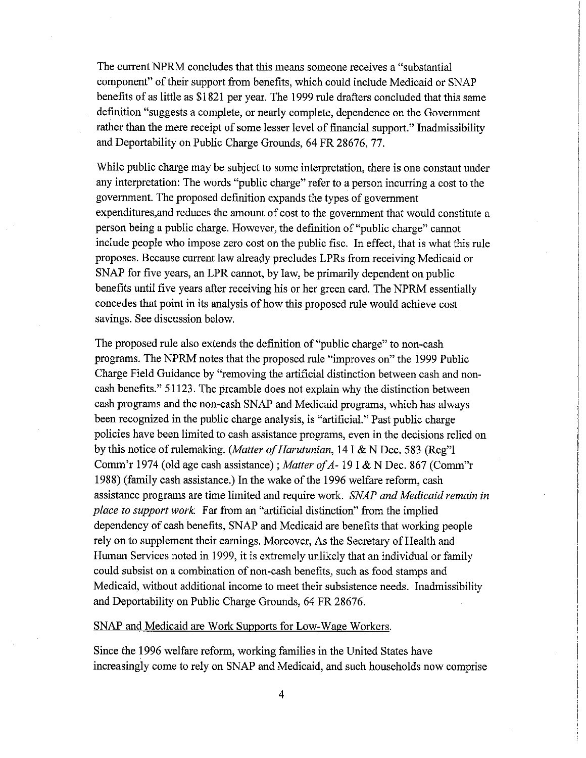The current NPRM concludes that this means someone receives a "substantial" component" of their support from benefits, which could include Medicaid or SNAP benefits of as little as \$1821 per year. The 1999 rule drafters concluded that this same definition "suggests a complete, or nearly complete, dependence on the Government rather than the mere receipt of some lesser level of financial support." Inadmissibility and Deportability on Public Charge Grounds, 64 FR 28676, 77.

While public charge may be subject to some interpretation, there is one constant under any interpretation: The words "public charge" refer to a person incurring a cost to the government. The proposed definition expands the types of government expenditures, and reduces the amount of cost to the government that would constitute a person being a public charge. However, the definition of "public charge" cannot include people who impose zero cost on the public fisc. In effect, that is what this rule proposes. Because current law already precludes LPRs from receiving Medicaid or SNAP for five years, an LPR cannot, by law, be primarily dependent on public benefits until five years after receiving his or her green card. The NPRM essentially concedes that point in its analysis of how this proposed rule would achieve cost savings. See discussion below.

The proposed rule also extends the definition of "public charge" to non-cash programs. The NPRM notes that the proposed rule "improves on" the 1999 Public Charge Field Guidance by "removing the artificial distinction between cash and noncash benefits." 51123. The preamble does not explain why the distinction between cash programs and the non-cash SNAP and Medicaid programs, which has always been recognized in the public charge analysis, is "artificial." Past public charge policies have been limited to cash assistance programs, even in the decisions relied on by this notice of rulemaking. (Matter of Harutunian, 14 I & N Dec. 583 (Reg") Comm'r 1974 (old age cash assistance); Matter of A-19 I & N Dec. 867 (Comm'r 1988) (family cash assistance.) In the wake of the 1996 welfare reform, cash assistance programs are time limited and require work. SNAP and Medicaid remain in place to support work. Far from an "artificial distinction" from the implied dependency of cash benefits, SNAP and Medicaid are benefits that working people rely on to supplement their earnings. Moreover, As the Secretary of Health and Human Services noted in 1999, it is extremely unlikely that an individual or family could subsist on a combination of non-cash benefits, such as food stamps and Medicaid, without additional income to meet their subsistence needs. Inadmissibility and Deportability on Public Charge Grounds, 64 FR 28676.

#### SNAP and Medicaid are Work Supports for Low-Wage Workers.

Since the 1996 welfare reform, working families in the United States have increasingly come to rely on SNAP and Medicaid, and such households now comprise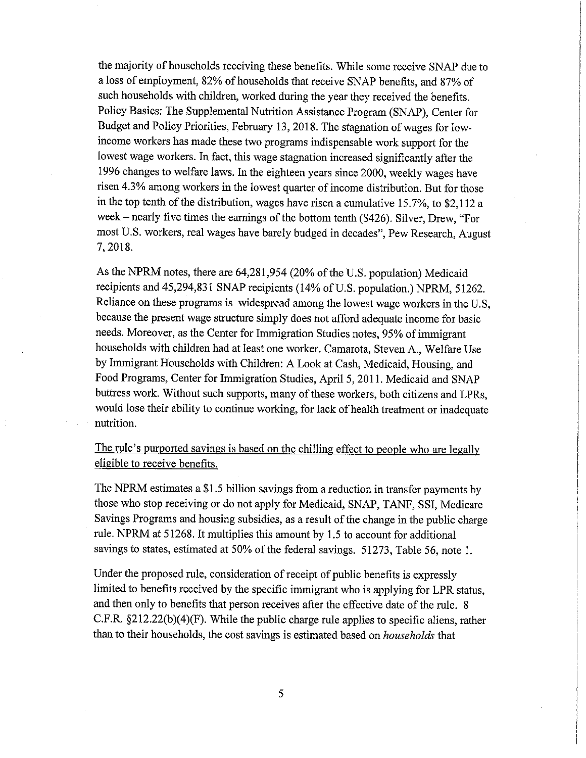the majority of households receiving these benefits. While some receive SNAP due to a loss of employment, 82% of households that receive SNAP benefits, and 87% of such households with children, worked during the year they received the benefits. Policy Basics: The Supplemental Nutrition Assistance Program (SNAP), Center for Budget and Policy Priorities, February 13, 2018. The stagnation of wages for lowincome workers has made these two programs indispensable work support for the lowest wage workers. In fact, this wage stagnation increased significantly after the 1996 changes to welfare laws. In the eighteen years since 2000, weekly wages have risen 4.3% among workers in the lowest quarter of income distribution. But for those in the top tenth of the distribution, wages have risen a cumulative 15.7%, to \$2,112 a week – nearly five times the earnings of the bottom tenth (\$426). Silver, Drew, "For most U.S. workers, real wages have barely budged in decades", Pew Research, August 7, 2018.

As the NPRM notes, there are 64,281,954 (20% of the U.S. population) Medicaid recipients and 45,294,831 SNAP recipients (14% of U.S. population.) NPRM, 51262. Reliance on these programs is widespread among the lowest wage workers in the U.S. because the present wage structure simply does not afford adequate income for basic needs. Moreover, as the Center for Immigration Studies notes, 95% of immigrant households with children had at least one worker. Camarota, Steven A., Welfare Use by Immigrant Households with Children: A Look at Cash, Medicaid, Housing, and Food Programs, Center for Immigration Studies, April 5, 2011. Medicaid and SNAP buttress work. Without such supports, many of these workers, both citizens and LPRs, would lose their ability to continue working, for lack of health treatment or inadequate nutrition.

The rule's purported savings is based on the chilling effect to people who are legally eligible to receive benefits.

The NPRM estimates a \$1.5 billion savings from a reduction in transfer payments by those who stop receiving or do not apply for Medicaid, SNAP, TANF, SSI, Medicare Savings Programs and housing subsidies, as a result of the change in the public charge rule. NPRM at 51268. It multiplies this amount by 1.5 to account for additional savings to states, estimated at 50% of the federal savings. 51273, Table 56, note 1.

Under the proposed rule, consideration of receipt of public benefits is expressly limited to benefits received by the specific immigrant who is applying for LPR status, and then only to benefits that person receives after the effective date of the rule. 8 C.F.R.  $\S212.22(b)(4)(F)$ . While the public charge rule applies to specific aliens, rather than to their households, the cost savings is estimated based on *households* that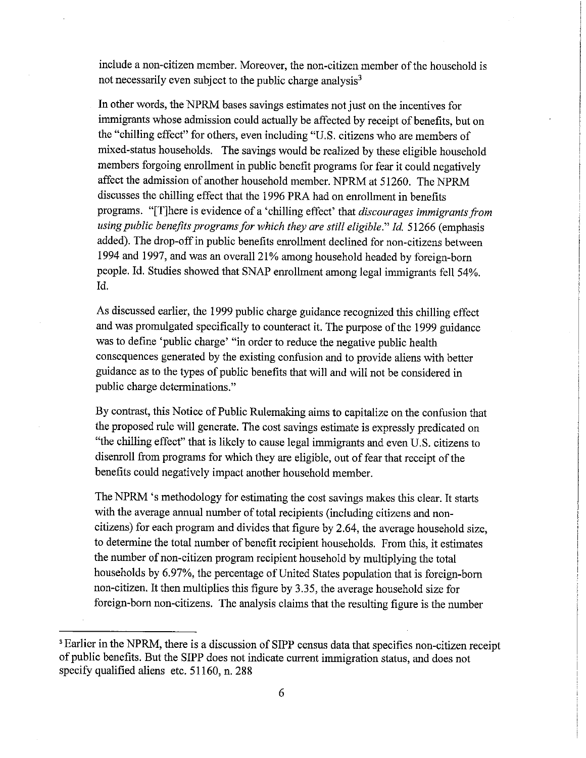include a non-citizen member. Moreover, the non-citizen member of the household is not necessarily even subject to the public charge analysis<sup>3</sup>

In other words, the NPRM bases savings estimates not just on the incentives for immigrants whose admission could actually be affected by receipt of benefits, but on the "chilling effect" for others, even including "U.S. citizens who are members of mixed-status households. The savings would be realized by these eligible household members forgoing enrollment in public benefit programs for fear it could negatively affect the admission of another household member. NPRM at 51260. The NPRM discusses the chilling effect that the 1996 PRA had on enrollment in benefits programs. "[T]here is evidence of a 'chilling effect' that discourages immigrants from using public benefits programs for which they are still eligible." Id. 51266 (emphasis added). The drop-off in public benefits enrollment declined for non-citizens between 1994 and 1997, and was an overall 21% among household headed by foreign-born people. Id. Studies showed that SNAP enrollment among legal immigrants fell 54%.  $Id.$ 

As discussed earlier, the 1999 public charge guidance recognized this chilling effect and was promulgated specifically to counteract it. The purpose of the 1999 guidance was to define 'public charge' "in order to reduce the negative public health consequences generated by the existing confusion and to provide aliens with better guidance as to the types of public benefits that will and will not be considered in public charge determinations."

By contrast, this Notice of Public Rulemaking aims to capitalize on the confusion that the proposed rule will generate. The cost savings estimate is expressly predicated on "the chilling effect" that is likely to cause legal immigrants and even U.S. citizens to disenroll from programs for which they are eligible, out of fear that receipt of the benefits could negatively impact another household member.

The NPRM 's methodology for estimating the cost savings makes this clear. It starts with the average annual number of total recipients (including citizens and noncitizens) for each program and divides that figure by 2.64, the average household size, to determine the total number of benefit recipient households. From this, it estimates the number of non-citizen program recipient household by multiplying the total households by 6.97%, the percentage of United States population that is foreign-born non-citizen. It then multiplies this figure by 3.35, the average household size for foreign-born non-citizens. The analysis claims that the resulting figure is the number

<sup>&</sup>lt;sup>3</sup> Earlier in the NPRM, there is a discussion of SIPP census data that specifies non-citizen receipt of public benefits. But the SIPP does not indicate current immigration status, and does not specify qualified aliens etc. 51160, n. 288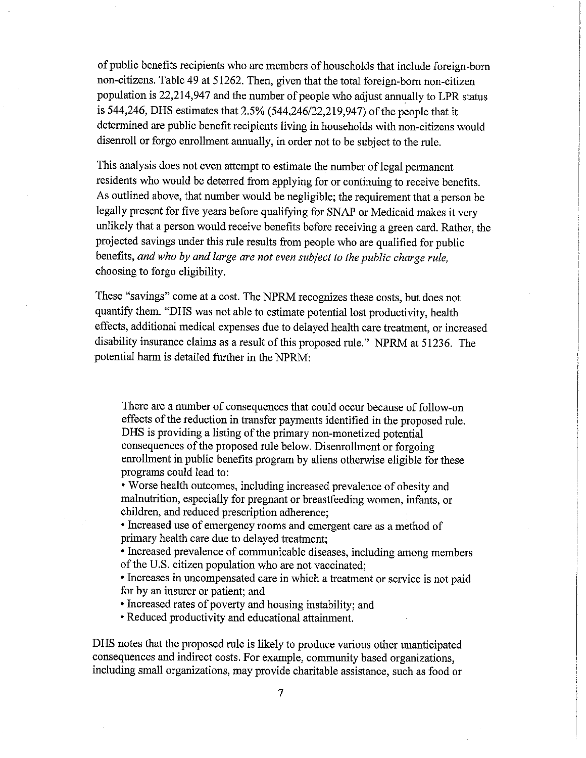of public benefits recipients who are members of households that include foreign-born non-citizens. Table 49 at 51262. Then, given that the total foreign-born non-citizen population is 22,214,947 and the number of people who adjust annually to LPR status is 544,246, DHS estimates that 2.5% (544,246/22,219,947) of the people that it determined are public benefit recipients living in households with non-citizens would disenroll or forgo enrollment annually, in order not to be subject to the rule.

This analysis does not even attempt to estimate the number of legal permanent residents who would be deterred from applying for or continuing to receive benefits. As outlined above, that number would be negligible; the requirement that a person be legally present for five years before qualifying for SNAP or Medicaid makes it very unlikely that a person would receive benefits before receiving a green card. Rather, the projected savings under this rule results from people who are qualified for public benefits, and who by and large are not even subject to the public charge rule, choosing to forgo eligibility.

These "savings" come at a cost. The NPRM recognizes these costs, but does not quantify them. "DHS was not able to estimate potential lost productivity, health effects, additional medical expenses due to delayed health care treatment, or increased disability insurance claims as a result of this proposed rule." NPRM at 51236. The potential harm is detailed further in the NPRM:

There are a number of consequences that could occur because of follow-on effects of the reduction in transfer payments identified in the proposed rule. DHS is providing a listing of the primary non-monetized potential consequences of the proposed rule below. Disenrollment or forgoing enrollment in public benefits program by aliens otherwise eligible for these programs could lead to:

• Worse health outcomes, including increased prevalence of obesity and malnutrition, especially for pregnant or breastfeeding women, infants, or children, and reduced prescription adherence;

· Increased use of emergency rooms and emergent care as a method of primary health care due to delayed treatment;

• Increased prevalence of communicable diseases, including among members of the U.S. citizen population who are not vaccinated;

· Increases in uncompensated care in which a treatment or service is not paid for by an insurer or patient; and

• Increased rates of poverty and housing instability; and

• Reduced productivity and educational attainment.

DHS notes that the proposed rule is likely to produce various other unanticipated consequences and indirect costs. For example, community based organizations, including small organizations, may provide charitable assistance, such as food or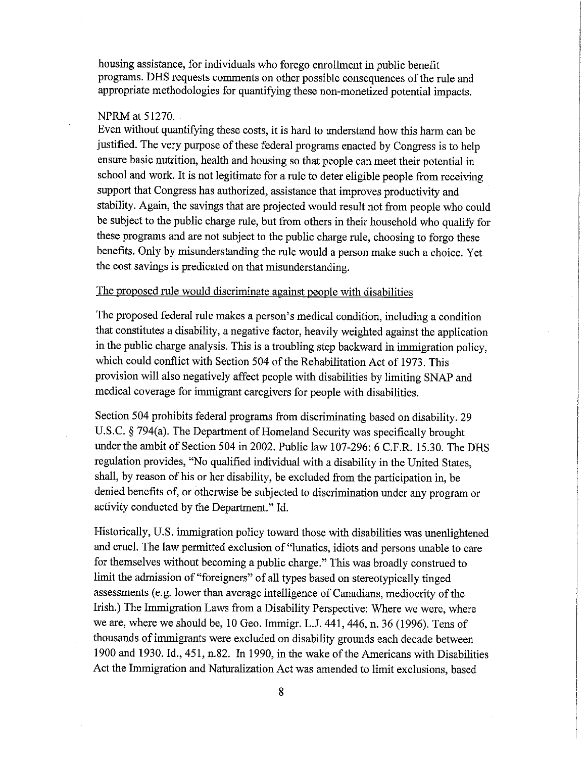housing assistance, for individuals who forego enrollment in public benefit programs. DHS requests comments on other possible consequences of the rule and appropriate methodologies for quantifying these non-monetized potential impacts.

#### NPRM at 51270.

Even without quantifying these costs, it is hard to understand how this harm can be justified. The very purpose of these federal programs enacted by Congress is to help ensure basic nutrition, health and housing so that people can meet their potential in school and work. It is not legitimate for a rule to deter eligible people from receiving support that Congress has authorized, assistance that improves productivity and stability. Again, the savings that are projected would result not from people who could be subject to the public charge rule, but from others in their household who qualify for these programs and are not subject to the public charge rule, choosing to forgo these benefits. Only by misunderstanding the rule would a person make such a choice. Yet the cost savings is predicated on that misunderstanding.

#### The proposed rule would discriminate against people with disabilities

The proposed federal rule makes a person's medical condition, including a condition that constitutes a disability, a negative factor, heavily weighted against the application in the public charge analysis. This is a troubling step backward in immigration policy, which could conflict with Section 504 of the Rehabilitation Act of 1973. This provision will also negatively affect people with disabilities by limiting SNAP and medical coverage for immigrant caregivers for people with disabilities.

Section 504 prohibits federal programs from discriminating based on disability. 29 U.S.C. § 794(a). The Department of Homeland Security was specifically brought under the ambit of Section 504 in 2002. Public law 107-296; 6 C.F.R. 15.30. The DHS regulation provides, "No qualified individual with a disability in the United States, shall, by reason of his or her disability, be excluded from the participation in, be denied benefits of, or otherwise be subjected to discrimination under any program or activity conducted by the Department." Id.

Historically, U.S. immigration policy toward those with disabilities was unenlightened and cruel. The law permitted exclusion of "lunatics, idiots and persons unable to care for themselves without becoming a public charge." This was broadly construed to limit the admission of "foreigners" of all types based on stereotypically tinged assessments (e.g. lower than average intelligence of Canadians, mediocrity of the Irish.) The Immigration Laws from a Disability Perspective: Where we were, where we are, where we should be, 10 Geo. Immigr. L.J. 441, 446, n. 36 (1996). Tens of thousands of immigrants were excluded on disability grounds each decade between 1900 and 1930. Id., 451, n.82. In 1990, in the wake of the Americans with Disabilities Act the Immigration and Naturalization Act was amended to limit exclusions, based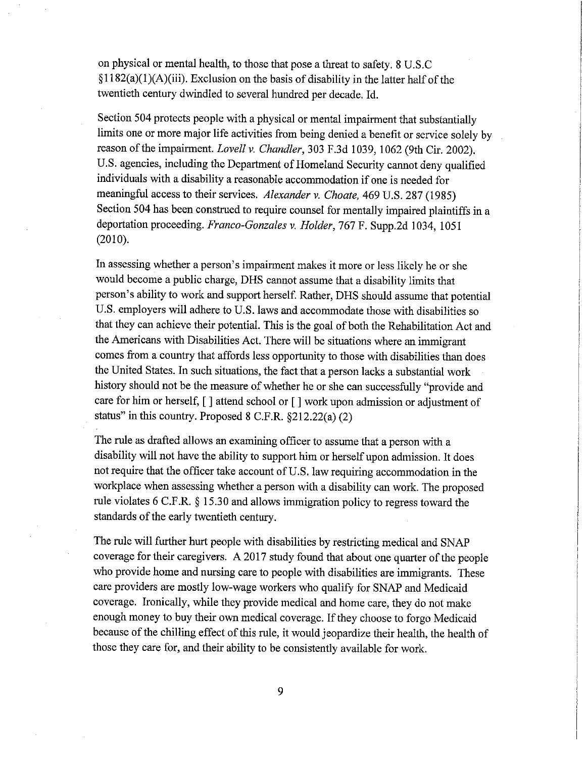on physical or mental health, to those that pose a threat to safety. 8 U.S.C  $\S1182(a)(1)(A)(iii)$ . Exclusion on the basis of disability in the latter half of the twentieth century dwindled to several hundred per decade. Id.

Section 504 protects people with a physical or mental impairment that substantially limits one or more major life activities from being denied a benefit or service solely by reason of the impairment. Lovell v. Chandler, 303 F.3d 1039, 1062 (9th Cir. 2002). U.S. agencies, including the Department of Homeland Security cannot deny qualified individuals with a disability a reasonable accommodation if one is needed for meaningful access to their services. Alexander v. Choate, 469 U.S. 287 (1985) Section 504 has been construed to require counsel for mentally impaired plaintiffs in a deportation proceeding. Franco-Gonzales v. Holder, 767 F. Supp.2d 1034, 1051  $(2010).$ 

In assessing whether a person's impairment makes it more or less likely he or she would become a public charge, DHS cannot assume that a disability limits that person's ability to work and support herself. Rather, DHS should assume that potential U.S. employers will adhere to U.S. laws and accommodate those with disabilities so that they can achieve their potential. This is the goal of both the Rehabilitation Act and the Americans with Disabilities Act. There will be situations where an immigrant comes from a country that affords less opportunity to those with disabilities than does the United States. In such situations, the fact that a person lacks a substantial work history should not be the measure of whether he or she can successfully "provide and care for him or herself, [] attend school or [] work upon admission or adjustment of status" in this country. Proposed 8 C.F.R. §212.22(a) (2)

The rule as drafted allows an examining officer to assume that a person with a disability will not have the ability to support him or herself upon admission. It does not require that the officer take account of U.S. law requiring accommodation in the workplace when assessing whether a person with a disability can work. The proposed rule violates 6 C.F.R. § 15.30 and allows immigration policy to regress toward the standards of the early twentieth century.

The rule will further hurt people with disabilities by restricting medical and SNAP coverage for their caregivers. A 2017 study found that about one quarter of the people who provide home and nursing care to people with disabilities are immigrants. These care providers are mostly low-wage workers who qualify for SNAP and Medicaid coverage. Ironically, while they provide medical and home care, they do not make enough money to buy their own medical coverage. If they choose to forgo Medicaid because of the chilling effect of this rule, it would jeopardize their health, the health of those they care for, and their ability to be consistently available for work.